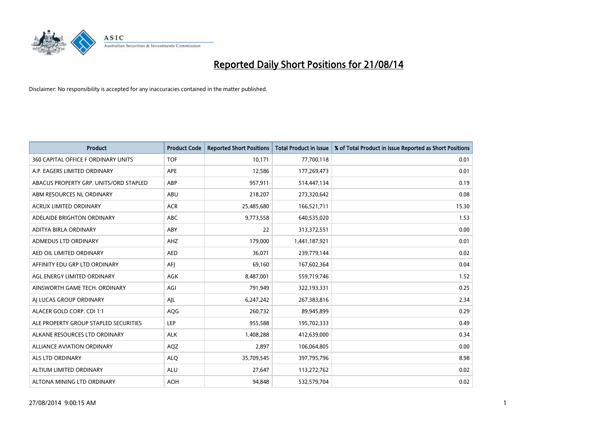

| <b>Product</b>                         | <b>Product Code</b> | <b>Reported Short Positions</b> | <b>Total Product in Issue</b> | % of Total Product in Issue Reported as Short Positions |
|----------------------------------------|---------------------|---------------------------------|-------------------------------|---------------------------------------------------------|
| 360 CAPITAL OFFICE F ORDINARY UNITS    | <b>TOF</b>          | 10,171                          | 77,700,118                    | 0.01                                                    |
| A.P. EAGERS LIMITED ORDINARY           | APE                 | 12,586                          | 177,269,473                   | 0.01                                                    |
| ABACUS PROPERTY GRP. UNITS/ORD STAPLED | ABP                 | 957,911                         | 514,447,134                   | 0.19                                                    |
| ABM RESOURCES NL ORDINARY              | ABU                 | 218,207                         | 273,320,642                   | 0.08                                                    |
| <b>ACRUX LIMITED ORDINARY</b>          | <b>ACR</b>          | 25,485,680                      | 166,521,711                   | 15.30                                                   |
| ADELAIDE BRIGHTON ORDINARY             | <b>ABC</b>          | 9,773,558                       | 640,535,020                   | 1.53                                                    |
| ADITYA BIRLA ORDINARY                  | ABY                 | 22                              | 313,372,551                   | 0.00                                                    |
| ADMEDUS LTD ORDINARY                   | AHZ                 | 179,000                         | 1,441,187,921                 | 0.01                                                    |
| AED OIL LIMITED ORDINARY               | <b>AED</b>          | 36,071                          | 239,779,144                   | 0.02                                                    |
| AFFINITY EDU GRP LTD ORDINARY          | AFI                 | 69,160                          | 167,602,364                   | 0.04                                                    |
| AGL ENERGY LIMITED ORDINARY            | AGK                 | 8,487,001                       | 559,719,746                   | 1.52                                                    |
| AINSWORTH GAME TECH. ORDINARY          | AGI                 | 791,949                         | 322,193,331                   | 0.25                                                    |
| AI LUCAS GROUP ORDINARY                | AJL                 | 6,247,242                       | 267,383,816                   | 2.34                                                    |
| ALACER GOLD CORP. CDI 1:1              | AQG                 | 260,732                         | 89,945,899                    | 0.29                                                    |
| ALE PROPERTY GROUP STAPLED SECURITIES  | LEP                 | 955,588                         | 195,702,333                   | 0.49                                                    |
| ALKANE RESOURCES LTD ORDINARY          | <b>ALK</b>          | 1,408,288                       | 412,639,000                   | 0.34                                                    |
| <b>ALLIANCE AVIATION ORDINARY</b>      | AQZ                 | 2,897                           | 106,064,805                   | 0.00                                                    |
| ALS LTD ORDINARY                       | <b>ALQ</b>          | 35,709,545                      | 397,795,796                   | 8.98                                                    |
| ALTIUM LIMITED ORDINARY                | <b>ALU</b>          | 27,647                          | 113,272,762                   | 0.02                                                    |
| ALTONA MINING LTD ORDINARY             | <b>AOH</b>          | 94.848                          | 532,579,704                   | 0.02                                                    |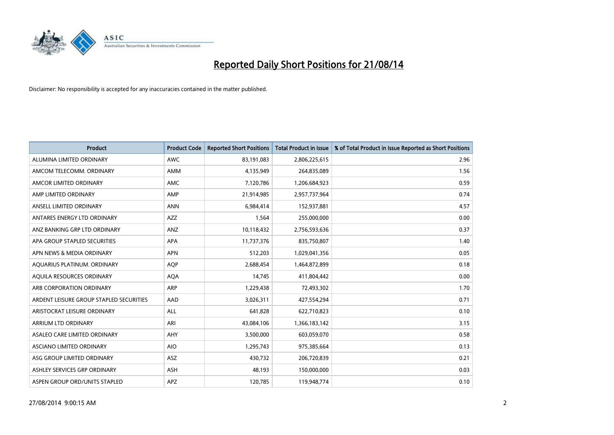

| Product                                 | <b>Product Code</b> | <b>Reported Short Positions</b> | <b>Total Product in Issue</b> | % of Total Product in Issue Reported as Short Positions |
|-----------------------------------------|---------------------|---------------------------------|-------------------------------|---------------------------------------------------------|
| ALUMINA LIMITED ORDINARY                | <b>AWC</b>          | 83,191,083                      | 2,806,225,615                 | 2.96                                                    |
| AMCOM TELECOMM, ORDINARY                | AMM                 | 4,135,949                       | 264,835,089                   | 1.56                                                    |
| AMCOR LIMITED ORDINARY                  | AMC                 | 7,120,786                       | 1,206,684,923                 | 0.59                                                    |
| AMP LIMITED ORDINARY                    | AMP                 | 21,914,985                      | 2,957,737,964                 | 0.74                                                    |
| ANSELL LIMITED ORDINARY                 | <b>ANN</b>          | 6,984,414                       | 152,937,881                   | 4.57                                                    |
| ANTARES ENERGY LTD ORDINARY             | <b>AZZ</b>          | 1,564                           | 255,000,000                   | 0.00                                                    |
| ANZ BANKING GRP LTD ORDINARY            | ANZ                 | 10,118,432                      | 2,756,593,636                 | 0.37                                                    |
| APA GROUP STAPLED SECURITIES            | <b>APA</b>          | 11,737,376                      | 835,750,807                   | 1.40                                                    |
| APN NEWS & MEDIA ORDINARY               | <b>APN</b>          | 512,203                         | 1,029,041,356                 | 0.05                                                    |
| AOUARIUS PLATINUM. ORDINARY             | <b>AOP</b>          | 2,688,454                       | 1,464,872,899                 | 0.18                                                    |
| AQUILA RESOURCES ORDINARY               | <b>AQA</b>          | 14,745                          | 411,804,442                   | 0.00                                                    |
| ARB CORPORATION ORDINARY                | ARP                 | 1,229,438                       | 72,493,302                    | 1.70                                                    |
| ARDENT LEISURE GROUP STAPLED SECURITIES | AAD                 | 3,026,311                       | 427,554,294                   | 0.71                                                    |
| ARISTOCRAT LEISURE ORDINARY             | ALL                 | 641,828                         | 622,710,823                   | 0.10                                                    |
| ARRIUM LTD ORDINARY                     | ARI                 | 43,084,106                      | 1,366,183,142                 | 3.15                                                    |
| ASALEO CARE LIMITED ORDINARY            | AHY                 | 3,500,000                       | 603,059,070                   | 0.58                                                    |
| ASCIANO LIMITED ORDINARY                | <b>AIO</b>          | 1,295,743                       | 975,385,664                   | 0.13                                                    |
| ASG GROUP LIMITED ORDINARY              | ASZ                 | 430,732                         | 206,720,839                   | 0.21                                                    |
| ASHLEY SERVICES GRP ORDINARY            | <b>ASH</b>          | 48,193                          | 150,000,000                   | 0.03                                                    |
| ASPEN GROUP ORD/UNITS STAPLED           | APZ                 | 120,785                         | 119,948,774                   | 0.10                                                    |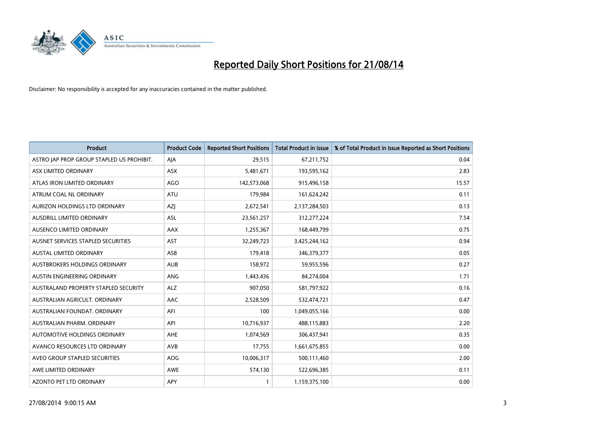

| <b>Product</b>                            | <b>Product Code</b> | <b>Reported Short Positions</b> | <b>Total Product in Issue</b> | % of Total Product in Issue Reported as Short Positions |
|-------------------------------------------|---------------------|---------------------------------|-------------------------------|---------------------------------------------------------|
| ASTRO JAP PROP GROUP STAPLED US PROHIBIT. | AJA                 | 29,515                          | 67,211,752                    | 0.04                                                    |
| ASX LIMITED ORDINARY                      | ASX                 | 5,481,671                       | 193,595,162                   | 2.83                                                    |
| ATLAS IRON LIMITED ORDINARY               | <b>AGO</b>          | 142,573,068                     | 915,496,158                   | 15.57                                                   |
| ATRUM COAL NL ORDINARY                    | <b>ATU</b>          | 179,984                         | 161,624,242                   | 0.11                                                    |
| AURIZON HOLDINGS LTD ORDINARY             | AZJ                 | 2,672,541                       | 2,137,284,503                 | 0.13                                                    |
| <b>AUSDRILL LIMITED ORDINARY</b>          | ASL                 | 23,561,257                      | 312,277,224                   | 7.54                                                    |
| AUSENCO LIMITED ORDINARY                  | AAX                 | 1,255,367                       | 168,449,799                   | 0.75                                                    |
| AUSNET SERVICES STAPLED SECURITIES        | <b>AST</b>          | 32,249,723                      | 3,425,244,162                 | 0.94                                                    |
| AUSTAL LIMITED ORDINARY                   | ASB                 | 179,418                         | 346, 379, 377                 | 0.05                                                    |
| <b>AUSTBROKERS HOLDINGS ORDINARY</b>      | <b>AUB</b>          | 158,972                         | 59,955,596                    | 0.27                                                    |
| AUSTIN ENGINEERING ORDINARY               | <b>ANG</b>          | 1,443,436                       | 84,274,004                    | 1.71                                                    |
| AUSTRALAND PROPERTY STAPLED SECURITY      | ALZ                 | 907,050                         | 581,797,922                   | 0.16                                                    |
| AUSTRALIAN AGRICULT. ORDINARY             | AAC                 | 2,528,509                       | 532,474,721                   | 0.47                                                    |
| AUSTRALIAN FOUNDAT, ORDINARY              | AFI                 | 100                             | 1,049,055,166                 | 0.00                                                    |
| AUSTRALIAN PHARM, ORDINARY                | API                 | 10,716,937                      | 488,115,883                   | 2.20                                                    |
| <b>AUTOMOTIVE HOLDINGS ORDINARY</b>       | <b>AHE</b>          | 1,074,569                       | 306,437,941                   | 0.35                                                    |
| AVANCO RESOURCES LTD ORDINARY             | AVB                 | 17,755                          | 1,661,675,855                 | 0.00                                                    |
| AVEO GROUP STAPLED SECURITIES             | <b>AOG</b>          | 10,006,317                      | 500,111,460                   | 2.00                                                    |
| AWE LIMITED ORDINARY                      | <b>AWE</b>          | 574,130                         | 522,696,385                   | 0.11                                                    |
| <b>AZONTO PET LTD ORDINARY</b>            | APY                 | 1                               | 1,159,375,100                 | 0.00                                                    |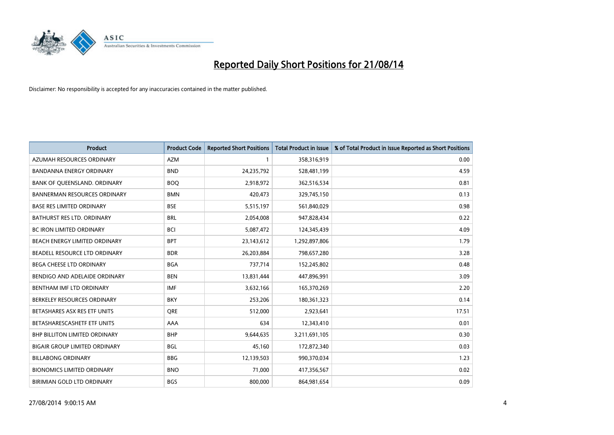

| <b>Product</b>                       | <b>Product Code</b> | <b>Reported Short Positions</b> | <b>Total Product in Issue</b> | % of Total Product in Issue Reported as Short Positions |
|--------------------------------------|---------------------|---------------------------------|-------------------------------|---------------------------------------------------------|
| AZUMAH RESOURCES ORDINARY            | <b>AZM</b>          |                                 | 358,316,919                   | 0.00                                                    |
| <b>BANDANNA ENERGY ORDINARY</b>      | <b>BND</b>          | 24,235,792                      | 528,481,199                   | 4.59                                                    |
| BANK OF QUEENSLAND. ORDINARY         | <b>BOQ</b>          | 2,918,972                       | 362,516,534                   | 0.81                                                    |
| <b>BANNERMAN RESOURCES ORDINARY</b>  | <b>BMN</b>          | 420,473                         | 329,745,150                   | 0.13                                                    |
| <b>BASE RES LIMITED ORDINARY</b>     | <b>BSE</b>          | 5,515,197                       | 561,840,029                   | 0.98                                                    |
| BATHURST RES LTD. ORDINARY           | <b>BRL</b>          | 2,054,008                       | 947,828,434                   | 0.22                                                    |
| <b>BC IRON LIMITED ORDINARY</b>      | <b>BCI</b>          | 5,087,472                       | 124,345,439                   | 4.09                                                    |
| BEACH ENERGY LIMITED ORDINARY        | <b>BPT</b>          | 23,143,612                      | 1,292,897,806                 | 1.79                                                    |
| BEADELL RESOURCE LTD ORDINARY        | <b>BDR</b>          | 26,203,884                      | 798,657,280                   | 3.28                                                    |
| <b>BEGA CHEESE LTD ORDINARY</b>      | <b>BGA</b>          | 737,714                         | 152,245,802                   | 0.48                                                    |
| BENDIGO AND ADELAIDE ORDINARY        | <b>BEN</b>          | 13,831,444                      | 447,896,991                   | 3.09                                                    |
| BENTHAM IMF LTD ORDINARY             | <b>IMF</b>          | 3,632,166                       | 165,370,269                   | 2.20                                                    |
| BERKELEY RESOURCES ORDINARY          | <b>BKY</b>          | 253,206                         | 180,361,323                   | 0.14                                                    |
| BETASHARES ASX RES ETF UNITS         | <b>ORE</b>          | 512,000                         | 2,923,641                     | 17.51                                                   |
| BETASHARESCASHETF ETF UNITS          | AAA                 | 634                             | 12,343,410                    | 0.01                                                    |
| <b>BHP BILLITON LIMITED ORDINARY</b> | <b>BHP</b>          | 9,644,635                       | 3,211,691,105                 | 0.30                                                    |
| <b>BIGAIR GROUP LIMITED ORDINARY</b> | <b>BGL</b>          | 45,160                          | 172,872,340                   | 0.03                                                    |
| <b>BILLABONG ORDINARY</b>            | <b>BBG</b>          | 12,139,503                      | 990,370,034                   | 1.23                                                    |
| <b>BIONOMICS LIMITED ORDINARY</b>    | <b>BNO</b>          | 71,000                          | 417,356,567                   | 0.02                                                    |
| BIRIMIAN GOLD LTD ORDINARY           | <b>BGS</b>          | 800,000                         | 864,981,654                   | 0.09                                                    |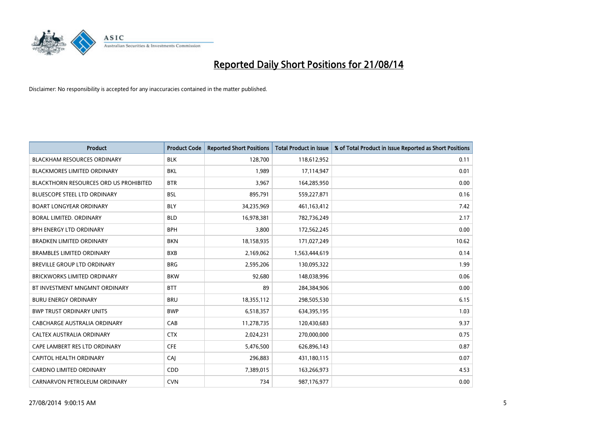

| <b>Product</b>                                | <b>Product Code</b> | <b>Reported Short Positions</b> | <b>Total Product in Issue</b> | % of Total Product in Issue Reported as Short Positions |
|-----------------------------------------------|---------------------|---------------------------------|-------------------------------|---------------------------------------------------------|
| <b>BLACKHAM RESOURCES ORDINARY</b>            | <b>BLK</b>          | 128,700                         | 118,612,952                   | 0.11                                                    |
| BLACKMORES LIMITED ORDINARY                   | BKL                 | 1,989                           | 17,114,947                    | 0.01                                                    |
| <b>BLACKTHORN RESOURCES ORD US PROHIBITED</b> | <b>BTR</b>          | 3,967                           | 164,285,950                   | 0.00                                                    |
| <b>BLUESCOPE STEEL LTD ORDINARY</b>           | <b>BSL</b>          | 895,791                         | 559,227,871                   | 0.16                                                    |
| <b>BOART LONGYEAR ORDINARY</b>                | <b>BLY</b>          | 34,235,969                      | 461,163,412                   | 7.42                                                    |
| <b>BORAL LIMITED, ORDINARY</b>                | <b>BLD</b>          | 16,978,381                      | 782,736,249                   | 2.17                                                    |
| <b>BPH ENERGY LTD ORDINARY</b>                | <b>BPH</b>          | 3,800                           | 172,562,245                   | 0.00                                                    |
| <b>BRADKEN LIMITED ORDINARY</b>               | <b>BKN</b>          | 18,158,935                      | 171,027,249                   | 10.62                                                   |
| <b>BRAMBLES LIMITED ORDINARY</b>              | <b>BXB</b>          | 2,169,062                       | 1,563,444,619                 | 0.14                                                    |
| <b>BREVILLE GROUP LTD ORDINARY</b>            | <b>BRG</b>          | 2,595,206                       | 130,095,322                   | 1.99                                                    |
| BRICKWORKS LIMITED ORDINARY                   | <b>BKW</b>          | 92,680                          | 148,038,996                   | 0.06                                                    |
| BT INVESTMENT MNGMNT ORDINARY                 | <b>BTT</b>          | 89                              | 284,384,906                   | 0.00                                                    |
| <b>BURU ENERGY ORDINARY</b>                   | <b>BRU</b>          | 18,355,112                      | 298,505,530                   | 6.15                                                    |
| <b>BWP TRUST ORDINARY UNITS</b>               | <b>BWP</b>          | 6,518,357                       | 634,395,195                   | 1.03                                                    |
| <b>CABCHARGE AUSTRALIA ORDINARY</b>           | CAB                 | 11,278,735                      | 120,430,683                   | 9.37                                                    |
| CALTEX AUSTRALIA ORDINARY                     | <b>CTX</b>          | 2,024,231                       | 270,000,000                   | 0.75                                                    |
| CAPE LAMBERT RES LTD ORDINARY                 | <b>CFE</b>          | 5,476,500                       | 626,896,143                   | 0.87                                                    |
| CAPITOL HEALTH ORDINARY                       | CAJ                 | 296,883                         | 431,180,115                   | 0.07                                                    |
| <b>CARDNO LIMITED ORDINARY</b>                | CDD                 | 7,389,015                       | 163,266,973                   | 4.53                                                    |
| CARNARVON PETROLEUM ORDINARY                  | <b>CVN</b>          | 734                             | 987,176,977                   | 0.00                                                    |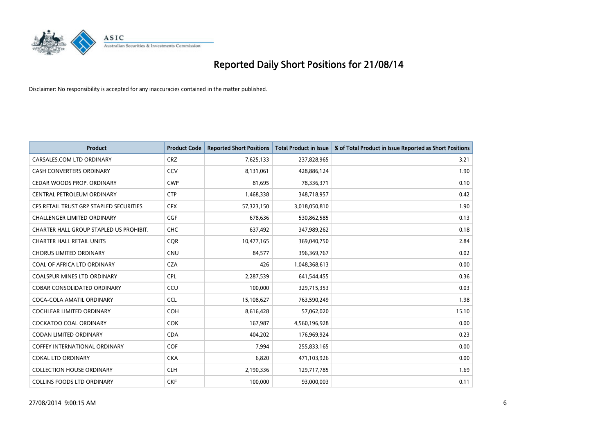

| <b>Product</b>                          | <b>Product Code</b> | <b>Reported Short Positions</b> | <b>Total Product in Issue</b> | % of Total Product in Issue Reported as Short Positions |
|-----------------------------------------|---------------------|---------------------------------|-------------------------------|---------------------------------------------------------|
| CARSALES.COM LTD ORDINARY               | <b>CRZ</b>          | 7,625,133                       | 237,828,965                   | 3.21                                                    |
| <b>CASH CONVERTERS ORDINARY</b>         | <b>CCV</b>          | 8,131,061                       | 428,886,124                   | 1.90                                                    |
| CEDAR WOODS PROP. ORDINARY              | <b>CWP</b>          | 81,695                          | 78,336,371                    | 0.10                                                    |
| CENTRAL PETROLEUM ORDINARY              | <b>CTP</b>          | 1,468,338                       | 348,718,957                   | 0.42                                                    |
| CFS RETAIL TRUST GRP STAPLED SECURITIES | <b>CFX</b>          | 57,323,150                      | 3,018,050,810                 | 1.90                                                    |
| <b>CHALLENGER LIMITED ORDINARY</b>      | <b>CGF</b>          | 678,636                         | 530,862,585                   | 0.13                                                    |
| CHARTER HALL GROUP STAPLED US PROHIBIT. | <b>CHC</b>          | 637,492                         | 347,989,262                   | 0.18                                                    |
| <b>CHARTER HALL RETAIL UNITS</b>        | <b>COR</b>          | 10,477,165                      | 369,040,750                   | 2.84                                                    |
| <b>CHORUS LIMITED ORDINARY</b>          | <b>CNU</b>          | 84,577                          | 396,369,767                   | 0.02                                                    |
| COAL OF AFRICA LTD ORDINARY             | <b>CZA</b>          | 426                             | 1,048,368,613                 | 0.00                                                    |
| COALSPUR MINES LTD ORDINARY             | <b>CPL</b>          | 2,287,539                       | 641,544,455                   | 0.36                                                    |
| <b>COBAR CONSOLIDATED ORDINARY</b>      | CCU                 | 100,000                         | 329,715,353                   | 0.03                                                    |
| COCA-COLA AMATIL ORDINARY               | <b>CCL</b>          | 15,108,627                      | 763,590,249                   | 1.98                                                    |
| COCHLEAR LIMITED ORDINARY               | <b>COH</b>          | 8,616,428                       | 57,062,020                    | 15.10                                                   |
| <b>COCKATOO COAL ORDINARY</b>           | <b>COK</b>          | 167,987                         | 4,560,196,928                 | 0.00                                                    |
| CODAN LIMITED ORDINARY                  | <b>CDA</b>          | 404,202                         | 176,969,924                   | 0.23                                                    |
| COFFEY INTERNATIONAL ORDINARY           | <b>COF</b>          | 7,994                           | 255,833,165                   | 0.00                                                    |
| <b>COKAL LTD ORDINARY</b>               | <b>CKA</b>          | 6,820                           | 471,103,926                   | 0.00                                                    |
| <b>COLLECTION HOUSE ORDINARY</b>        | <b>CLH</b>          | 2,190,336                       | 129,717,785                   | 1.69                                                    |
| <b>COLLINS FOODS LTD ORDINARY</b>       | <b>CKF</b>          | 100,000                         | 93,000,003                    | 0.11                                                    |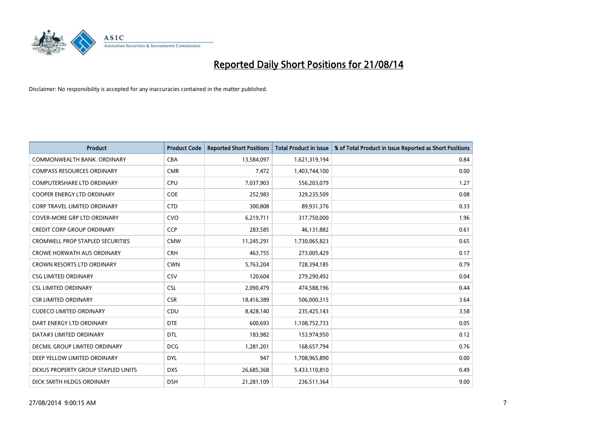

| <b>Product</b>                          | <b>Product Code</b> | <b>Reported Short Positions</b> | <b>Total Product in Issue</b> | % of Total Product in Issue Reported as Short Positions |
|-----------------------------------------|---------------------|---------------------------------|-------------------------------|---------------------------------------------------------|
| COMMONWEALTH BANK, ORDINARY             | <b>CBA</b>          | 13,584,097                      | 1,621,319,194                 | 0.84                                                    |
| <b>COMPASS RESOURCES ORDINARY</b>       | <b>CMR</b>          | 7,472                           | 1,403,744,100                 | 0.00                                                    |
| <b>COMPUTERSHARE LTD ORDINARY</b>       | <b>CPU</b>          | 7,037,903                       | 556,203,079                   | 1.27                                                    |
| <b>COOPER ENERGY LTD ORDINARY</b>       | <b>COE</b>          | 252,983                         | 329,235,509                   | 0.08                                                    |
| <b>CORP TRAVEL LIMITED ORDINARY</b>     | <b>CTD</b>          | 300,808                         | 89,931,376                    | 0.33                                                    |
| <b>COVER-MORE GRP LTD ORDINARY</b>      | <b>CVO</b>          | 6,219,711                       | 317,750,000                   | 1.96                                                    |
| CREDIT CORP GROUP ORDINARY              | <b>CCP</b>          | 283,585                         | 46,131,882                    | 0.61                                                    |
| <b>CROMWELL PROP STAPLED SECURITIES</b> | <b>CMW</b>          | 11,245,291                      | 1,730,065,823                 | 0.65                                                    |
| <b>CROWE HORWATH AUS ORDINARY</b>       | <b>CRH</b>          | 463,755                         | 273,005,429                   | 0.17                                                    |
| <b>CROWN RESORTS LTD ORDINARY</b>       | <b>CWN</b>          | 5,763,204                       | 728,394,185                   | 0.79                                                    |
| <b>CSG LIMITED ORDINARY</b>             | CSV                 | 120,604                         | 279,290,492                   | 0.04                                                    |
| <b>CSL LIMITED ORDINARY</b>             | <b>CSL</b>          | 2,090,479                       | 474,588,196                   | 0.44                                                    |
| <b>CSR LIMITED ORDINARY</b>             | <b>CSR</b>          | 18,416,389                      | 506,000,315                   | 3.64                                                    |
| <b>CUDECO LIMITED ORDINARY</b>          | CDU                 | 8,428,140                       | 235,425,143                   | 3.58                                                    |
| DART ENERGY LTD ORDINARY                | <b>DTE</b>          | 600,693                         | 1,108,752,733                 | 0.05                                                    |
| DATA#3 LIMITED ORDINARY                 | <b>DTL</b>          | 183,982                         | 153,974,950                   | 0.12                                                    |
| DECMIL GROUP LIMITED ORDINARY           | <b>DCG</b>          | 1,281,201                       | 168,657,794                   | 0.76                                                    |
| DEEP YELLOW LIMITED ORDINARY            | <b>DYL</b>          | 947                             | 1,708,965,890                 | 0.00                                                    |
| DEXUS PROPERTY GROUP STAPLED UNITS      | <b>DXS</b>          | 26,685,368                      | 5,433,110,810                 | 0.49                                                    |
| DICK SMITH HLDGS ORDINARY               | <b>DSH</b>          | 21,281,109                      | 236,511,364                   | 9.00                                                    |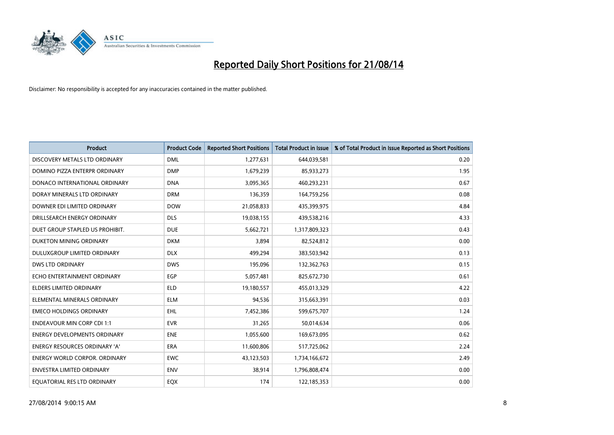

| <b>Product</b>                       | <b>Product Code</b> | <b>Reported Short Positions</b> | <b>Total Product in Issue</b> | % of Total Product in Issue Reported as Short Positions |
|--------------------------------------|---------------------|---------------------------------|-------------------------------|---------------------------------------------------------|
| DISCOVERY METALS LTD ORDINARY        | <b>DML</b>          | 1,277,631                       | 644,039,581                   | 0.20                                                    |
| DOMINO PIZZA ENTERPR ORDINARY        | <b>DMP</b>          | 1,679,239                       | 85,933,273                    | 1.95                                                    |
| DONACO INTERNATIONAL ORDINARY        | <b>DNA</b>          | 3,095,365                       | 460,293,231                   | 0.67                                                    |
| DORAY MINERALS LTD ORDINARY          | <b>DRM</b>          | 136,359                         | 164,759,256                   | 0.08                                                    |
| DOWNER EDI LIMITED ORDINARY          | <b>DOW</b>          | 21,058,833                      | 435,399,975                   | 4.84                                                    |
| DRILLSEARCH ENERGY ORDINARY          | <b>DLS</b>          | 19,038,155                      | 439,538,216                   | 4.33                                                    |
| DUET GROUP STAPLED US PROHIBIT.      | <b>DUE</b>          | 5,662,721                       | 1,317,809,323                 | 0.43                                                    |
| DUKETON MINING ORDINARY              | <b>DKM</b>          | 3,894                           | 82,524,812                    | 0.00                                                    |
| DULUXGROUP LIMITED ORDINARY          | <b>DLX</b>          | 499,294                         | 383,503,942                   | 0.13                                                    |
| <b>DWS LTD ORDINARY</b>              | <b>DWS</b>          | 195,096                         | 132,362,763                   | 0.15                                                    |
| ECHO ENTERTAINMENT ORDINARY          | <b>EGP</b>          | 5,057,481                       | 825,672,730                   | 0.61                                                    |
| <b>ELDERS LIMITED ORDINARY</b>       | <b>ELD</b>          | 19,180,557                      | 455,013,329                   | 4.22                                                    |
| ELEMENTAL MINERALS ORDINARY          | <b>ELM</b>          | 94,536                          | 315,663,391                   | 0.03                                                    |
| <b>EMECO HOLDINGS ORDINARY</b>       | EHL                 | 7,452,386                       | 599,675,707                   | 1.24                                                    |
| <b>ENDEAVOUR MIN CORP CDI 1:1</b>    | <b>EVR</b>          | 31,265                          | 50,014,634                    | 0.06                                                    |
| <b>ENERGY DEVELOPMENTS ORDINARY</b>  | <b>ENE</b>          | 1,055,600                       | 169,673,095                   | 0.62                                                    |
| <b>ENERGY RESOURCES ORDINARY 'A'</b> | ERA                 | 11,600,806                      | 517,725,062                   | 2.24                                                    |
| <b>ENERGY WORLD CORPOR. ORDINARY</b> | <b>EWC</b>          | 43,123,503                      | 1,734,166,672                 | 2.49                                                    |
| <b>ENVESTRA LIMITED ORDINARY</b>     | <b>ENV</b>          | 38,914                          | 1,796,808,474                 | 0.00                                                    |
| EQUATORIAL RES LTD ORDINARY          | EQX                 | 174                             | 122,185,353                   | 0.00                                                    |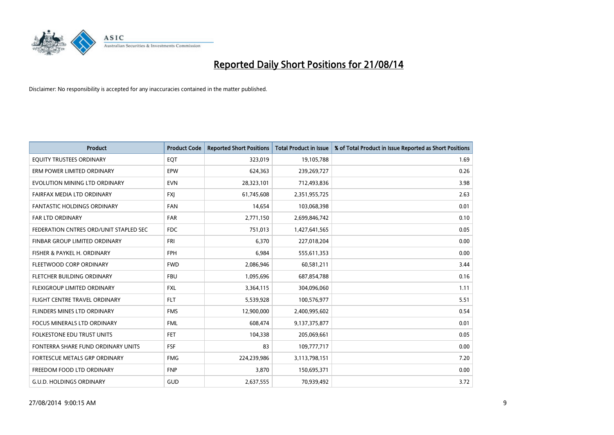

| <b>Product</b>                         | <b>Product Code</b> | <b>Reported Short Positions</b> | <b>Total Product in Issue</b> | % of Total Product in Issue Reported as Short Positions |
|----------------------------------------|---------------------|---------------------------------|-------------------------------|---------------------------------------------------------|
| EQUITY TRUSTEES ORDINARY               | EQT                 | 323,019                         | 19,105,788                    | 1.69                                                    |
| ERM POWER LIMITED ORDINARY             | EPW                 | 624,363                         | 239,269,727                   | 0.26                                                    |
| EVOLUTION MINING LTD ORDINARY          | <b>EVN</b>          | 28,323,101                      | 712,493,836                   | 3.98                                                    |
| FAIRFAX MEDIA LTD ORDINARY             | <b>FXI</b>          | 61,745,608                      | 2,351,955,725                 | 2.63                                                    |
| <b>FANTASTIC HOLDINGS ORDINARY</b>     | <b>FAN</b>          | 14,654                          | 103,068,398                   | 0.01                                                    |
| FAR LTD ORDINARY                       | <b>FAR</b>          | 2,771,150                       | 2,699,846,742                 | 0.10                                                    |
| FEDERATION CNTRES ORD/UNIT STAPLED SEC | <b>FDC</b>          | 751,013                         | 1,427,641,565                 | 0.05                                                    |
| FINBAR GROUP LIMITED ORDINARY          | <b>FRI</b>          | 6,370                           | 227,018,204                   | 0.00                                                    |
| FISHER & PAYKEL H. ORDINARY            | <b>FPH</b>          | 6,984                           | 555,611,353                   | 0.00                                                    |
| FLEETWOOD CORP ORDINARY                | <b>FWD</b>          | 2,086,946                       | 60,581,211                    | 3.44                                                    |
| FLETCHER BUILDING ORDINARY             | <b>FBU</b>          | 1,095,696                       | 687,854,788                   | 0.16                                                    |
| FLEXIGROUP LIMITED ORDINARY            | <b>FXL</b>          | 3,364,115                       | 304,096,060                   | 1.11                                                    |
| FLIGHT CENTRE TRAVEL ORDINARY          | <b>FLT</b>          | 5,539,928                       | 100,576,977                   | 5.51                                                    |
| FLINDERS MINES LTD ORDINARY            | <b>FMS</b>          | 12,900,000                      | 2,400,995,602                 | 0.54                                                    |
| <b>FOCUS MINERALS LTD ORDINARY</b>     | <b>FML</b>          | 608,474                         | 9,137,375,877                 | 0.01                                                    |
| <b>FOLKESTONE EDU TRUST UNITS</b>      | FET                 | 104,338                         | 205,069,661                   | 0.05                                                    |
| FONTERRA SHARE FUND ORDINARY UNITS     | <b>FSF</b>          | 83                              | 109,777,717                   | 0.00                                                    |
| FORTESCUE METALS GRP ORDINARY          | <b>FMG</b>          | 224,239,986                     | 3,113,798,151                 | 7.20                                                    |
| FREEDOM FOOD LTD ORDINARY              | <b>FNP</b>          | 3,870                           | 150,695,371                   | 0.00                                                    |
| <b>G.U.D. HOLDINGS ORDINARY</b>        | GUD                 | 2,637,555                       | 70,939,492                    | 3.72                                                    |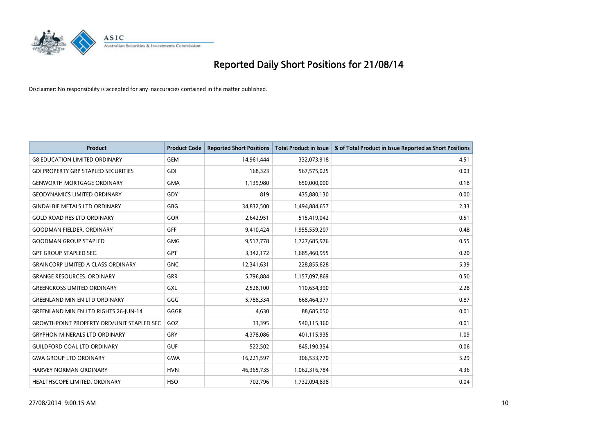

| <b>Product</b>                                    | <b>Product Code</b> | <b>Reported Short Positions</b> | <b>Total Product in Issue</b> | % of Total Product in Issue Reported as Short Positions |
|---------------------------------------------------|---------------------|---------------------------------|-------------------------------|---------------------------------------------------------|
| <b>G8 EDUCATION LIMITED ORDINARY</b>              | <b>GEM</b>          | 14,961,444                      | 332,073,918                   | 4.51                                                    |
| <b>GDI PROPERTY GRP STAPLED SECURITIES</b>        | GDI                 | 168,323                         | 567,575,025                   | 0.03                                                    |
| <b>GENWORTH MORTGAGE ORDINARY</b>                 | <b>GMA</b>          | 1,139,980                       | 650,000,000                   | 0.18                                                    |
| <b>GEODYNAMICS LIMITED ORDINARY</b>               | GDY                 | 819                             | 435,880,130                   | 0.00                                                    |
| <b>GINDALBIE METALS LTD ORDINARY</b>              | <b>GBG</b>          | 34,832,500                      | 1,494,884,657                 | 2.33                                                    |
| <b>GOLD ROAD RES LTD ORDINARY</b>                 | GOR                 | 2,642,951                       | 515,419,042                   | 0.51                                                    |
| <b>GOODMAN FIELDER, ORDINARY</b>                  | <b>GFF</b>          | 9,410,424                       | 1,955,559,207                 | 0.48                                                    |
| <b>GOODMAN GROUP STAPLED</b>                      | <b>GMG</b>          | 9,517,778                       | 1,727,685,976                 | 0.55                                                    |
| <b>GPT GROUP STAPLED SEC.</b>                     | <b>GPT</b>          | 3,342,172                       | 1,685,460,955                 | 0.20                                                    |
| <b>GRAINCORP LIMITED A CLASS ORDINARY</b>         | <b>GNC</b>          | 12,341,631                      | 228,855,628                   | 5.39                                                    |
| <b>GRANGE RESOURCES. ORDINARY</b>                 | GRR                 | 5,796,884                       | 1,157,097,869                 | 0.50                                                    |
| <b>GREENCROSS LIMITED ORDINARY</b>                | GXL                 | 2,528,100                       | 110,654,390                   | 2.28                                                    |
| <b>GREENLAND MIN EN LTD ORDINARY</b>              | GGG                 | 5,788,334                       | 668,464,377                   | 0.87                                                    |
| <b>GREENLAND MIN EN LTD RIGHTS 26-JUN-14</b>      | GGGR                | 4,630                           | 88,685,050                    | 0.01                                                    |
| <b>GROWTHPOINT PROPERTY ORD/UNIT STAPLED SEC.</b> | GOZ                 | 33,395                          | 540,115,360                   | 0.01                                                    |
| <b>GRYPHON MINERALS LTD ORDINARY</b>              | GRY                 | 4,378,086                       | 401,115,935                   | 1.09                                                    |
| <b>GUILDFORD COAL LTD ORDINARY</b>                | <b>GUF</b>          | 522,502                         | 845,190,354                   | 0.06                                                    |
| <b>GWA GROUP LTD ORDINARY</b>                     | <b>GWA</b>          | 16,221,597                      | 306,533,770                   | 5.29                                                    |
| <b>HARVEY NORMAN ORDINARY</b>                     | <b>HVN</b>          | 46,365,735                      | 1,062,316,784                 | 4.36                                                    |
| HEALTHSCOPE LIMITED. ORDINARY                     | <b>HSO</b>          | 702,796                         | 1,732,094,838                 | 0.04                                                    |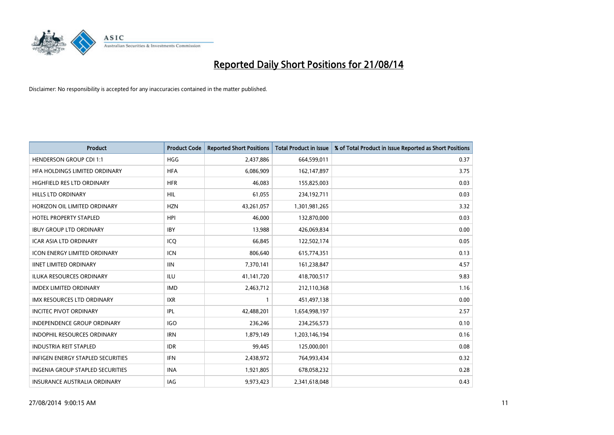

| <b>Product</b>                      | <b>Product Code</b> | <b>Reported Short Positions</b> | <b>Total Product in Issue</b> | % of Total Product in Issue Reported as Short Positions |
|-------------------------------------|---------------------|---------------------------------|-------------------------------|---------------------------------------------------------|
| <b>HENDERSON GROUP CDI 1:1</b>      | <b>HGG</b>          | 2,437,886                       | 664,599,011                   | 0.37                                                    |
| HFA HOLDINGS LIMITED ORDINARY       | <b>HFA</b>          | 6,086,909                       | 162,147,897                   | 3.75                                                    |
| HIGHFIELD RES LTD ORDINARY          | <b>HFR</b>          | 46,083                          | 155,825,003                   | 0.03                                                    |
| HILLS LTD ORDINARY                  | <b>HIL</b>          | 61,055                          | 234,192,711                   | 0.03                                                    |
| HORIZON OIL LIMITED ORDINARY        | <b>HZN</b>          | 43,261,057                      | 1,301,981,265                 | 3.32                                                    |
| <b>HOTEL PROPERTY STAPLED</b>       | <b>HPI</b>          | 46,000                          | 132,870,000                   | 0.03                                                    |
| <b>IBUY GROUP LTD ORDINARY</b>      | <b>IBY</b>          | 13,988                          | 426,069,834                   | 0.00                                                    |
| ICAR ASIA LTD ORDINARY              | ICQ                 | 66,845                          | 122,502,174                   | 0.05                                                    |
| <b>ICON ENERGY LIMITED ORDINARY</b> | <b>ICN</b>          | 806,640                         | 615,774,351                   | 0.13                                                    |
| <b>IINET LIMITED ORDINARY</b>       | <b>IIN</b>          | 7,370,141                       | 161,238,847                   | 4.57                                                    |
| ILUKA RESOURCES ORDINARY            | ILU                 | 41,141,720                      | 418,700,517                   | 9.83                                                    |
| <b>IMDEX LIMITED ORDINARY</b>       | <b>IMD</b>          | 2,463,712                       | 212,110,368                   | 1.16                                                    |
| IMX RESOURCES LTD ORDINARY          | <b>IXR</b>          | $\mathbf{1}$                    | 451,497,138                   | 0.00                                                    |
| <b>INCITEC PIVOT ORDINARY</b>       | IPL                 | 42,488,201                      | 1,654,998,197                 | 2.57                                                    |
| <b>INDEPENDENCE GROUP ORDINARY</b>  | <b>IGO</b>          | 236,246                         | 234,256,573                   | 0.10                                                    |
| INDOPHIL RESOURCES ORDINARY         | <b>IRN</b>          | 1,879,149                       | 1,203,146,194                 | 0.16                                                    |
| <b>INDUSTRIA REIT STAPLED</b>       | <b>IDR</b>          | 99,445                          | 125,000,001                   | 0.08                                                    |
| INFIGEN ENERGY STAPLED SECURITIES   | <b>IFN</b>          | 2,438,972                       | 764,993,434                   | 0.32                                                    |
| INGENIA GROUP STAPLED SECURITIES    | <b>INA</b>          | 1,921,805                       | 678,058,232                   | 0.28                                                    |
| INSURANCE AUSTRALIA ORDINARY        | IAG                 | 9,973,423                       | 2,341,618,048                 | 0.43                                                    |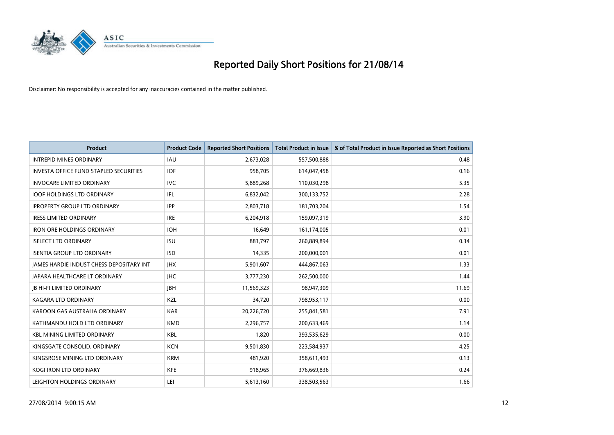

| Product                                         | <b>Product Code</b> | <b>Reported Short Positions</b> | <b>Total Product in Issue</b> | % of Total Product in Issue Reported as Short Positions |
|-------------------------------------------------|---------------------|---------------------------------|-------------------------------|---------------------------------------------------------|
| <b>INTREPID MINES ORDINARY</b>                  | <b>IAU</b>          | 2,673,028                       | 557,500,888                   | 0.48                                                    |
| <b>INVESTA OFFICE FUND STAPLED SECURITIES</b>   | <b>IOF</b>          | 958,705                         | 614,047,458                   | 0.16                                                    |
| <b>INVOCARE LIMITED ORDINARY</b>                | <b>IVC</b>          | 5,889,268                       | 110,030,298                   | 5.35                                                    |
| <b>IOOF HOLDINGS LTD ORDINARY</b>               | IFL                 | 6,832,042                       | 300,133,752                   | 2.28                                                    |
| <b>IPROPERTY GROUP LTD ORDINARY</b>             | <b>IPP</b>          | 2,803,718                       | 181,703,204                   | 1.54                                                    |
| <b>IRESS LIMITED ORDINARY</b>                   | <b>IRE</b>          | 6,204,918                       | 159,097,319                   | 3.90                                                    |
| <b>IRON ORE HOLDINGS ORDINARY</b>               | <b>IOH</b>          | 16,649                          | 161,174,005                   | 0.01                                                    |
| <b>ISELECT LTD ORDINARY</b>                     | <b>ISU</b>          | 883,797                         | 260,889,894                   | 0.34                                                    |
| <b>ISENTIA GROUP LTD ORDINARY</b>               | <b>ISD</b>          | 14,335                          | 200,000,001                   | 0.01                                                    |
| <b>JAMES HARDIE INDUST CHESS DEPOSITARY INT</b> | <b>IHX</b>          | 5,901,607                       | 444,867,063                   | 1.33                                                    |
| JAPARA HEALTHCARE LT ORDINARY                   | <b>IHC</b>          | 3,777,230                       | 262,500,000                   | 1.44                                                    |
| <b>JB HI-FI LIMITED ORDINARY</b>                | <b>JBH</b>          | 11,569,323                      | 98,947,309                    | 11.69                                                   |
| <b>KAGARA LTD ORDINARY</b>                      | KZL                 | 34,720                          | 798,953,117                   | 0.00                                                    |
| KAROON GAS AUSTRALIA ORDINARY                   | <b>KAR</b>          | 20,226,720                      | 255,841,581                   | 7.91                                                    |
| KATHMANDU HOLD LTD ORDINARY                     | <b>KMD</b>          | 2,296,757                       | 200,633,469                   | 1.14                                                    |
| <b>KBL MINING LIMITED ORDINARY</b>              | <b>KBL</b>          | 1,820                           | 393,535,629                   | 0.00                                                    |
| KINGSGATE CONSOLID. ORDINARY                    | <b>KCN</b>          | 9,501,830                       | 223,584,937                   | 4.25                                                    |
| KINGSROSE MINING LTD ORDINARY                   | <b>KRM</b>          | 481,920                         | 358,611,493                   | 0.13                                                    |
| <b>KOGI IRON LTD ORDINARY</b>                   | <b>KFE</b>          | 918,965                         | 376,669,836                   | 0.24                                                    |
| LEIGHTON HOLDINGS ORDINARY                      | LEI                 | 5,613,160                       | 338,503,563                   | 1.66                                                    |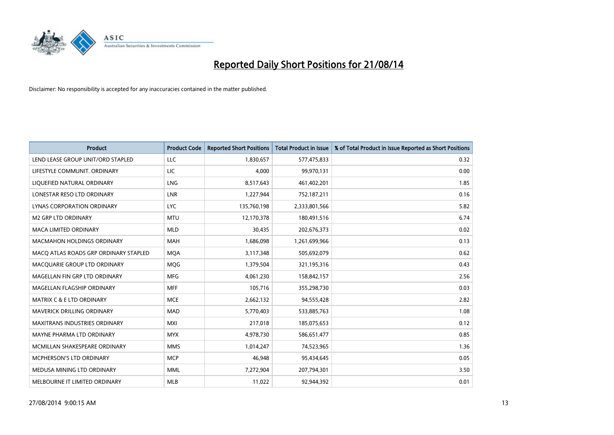

| <b>Product</b>                        | <b>Product Code</b> | <b>Reported Short Positions</b> | <b>Total Product in Issue</b> | % of Total Product in Issue Reported as Short Positions |
|---------------------------------------|---------------------|---------------------------------|-------------------------------|---------------------------------------------------------|
| LEND LEASE GROUP UNIT/ORD STAPLED     | LLC                 | 1,830,657                       | 577,475,833                   | 0.32                                                    |
| LIFESTYLE COMMUNIT. ORDINARY          | LIC                 | 4,000                           | 99,970,131                    | 0.00                                                    |
| LIQUEFIED NATURAL ORDINARY            | <b>LNG</b>          | 8,517,643                       | 461,402,201                   | 1.85                                                    |
| LONESTAR RESO LTD ORDINARY            | <b>LNR</b>          | 1,227,944                       | 752,187,211                   | 0.16                                                    |
| LYNAS CORPORATION ORDINARY            | <b>LYC</b>          | 135,760,198                     | 2,333,801,566                 | 5.82                                                    |
| <b>M2 GRP LTD ORDINARY</b>            | <b>MTU</b>          | 12,170,378                      | 180,491,516                   | 6.74                                                    |
| <b>MACA LIMITED ORDINARY</b>          | <b>MLD</b>          | 30,435                          | 202,676,373                   | 0.02                                                    |
| <b>MACMAHON HOLDINGS ORDINARY</b>     | <b>MAH</b>          | 1,686,098                       | 1,261,699,966                 | 0.13                                                    |
| MACO ATLAS ROADS GRP ORDINARY STAPLED | <b>MOA</b>          | 3,117,348                       | 505,692,079                   | 0.62                                                    |
| MACQUARIE GROUP LTD ORDINARY          | <b>MQG</b>          | 1,379,504                       | 321,195,316                   | 0.43                                                    |
| MAGELLAN FIN GRP LTD ORDINARY         | <b>MFG</b>          | 4,061,230                       | 158,842,157                   | 2.56                                                    |
| MAGELLAN FLAGSHIP ORDINARY            | <b>MFF</b>          | 105,716                         | 355,298,730                   | 0.03                                                    |
| <b>MATRIX C &amp; E LTD ORDINARY</b>  | <b>MCE</b>          | 2,662,132                       | 94,555,428                    | 2.82                                                    |
| MAVERICK DRILLING ORDINARY            | <b>MAD</b>          | 5,770,403                       | 533,885,763                   | 1.08                                                    |
| <b>MAXITRANS INDUSTRIES ORDINARY</b>  | <b>MXI</b>          | 217,018                         | 185,075,653                   | 0.12                                                    |
| MAYNE PHARMA LTD ORDINARY             | <b>MYX</b>          | 4,978,730                       | 586,651,477                   | 0.85                                                    |
| MCMILLAN SHAKESPEARE ORDINARY         | <b>MMS</b>          | 1,014,247                       | 74,523,965                    | 1.36                                                    |
| MCPHERSON'S LTD ORDINARY              | <b>MCP</b>          | 46,948                          | 95,434,645                    | 0.05                                                    |
| MEDUSA MINING LTD ORDINARY            | <b>MML</b>          | 7,272,904                       | 207,794,301                   | 3.50                                                    |
| MELBOURNE IT LIMITED ORDINARY         | <b>MLB</b>          | 11,022                          | 92,944,392                    | 0.01                                                    |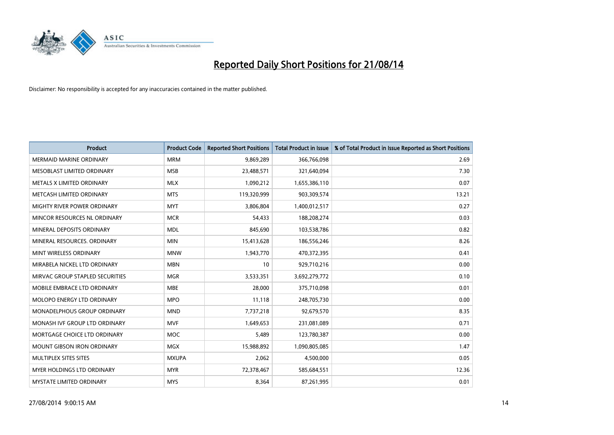

| <b>Product</b>                  | <b>Product Code</b> | <b>Reported Short Positions</b> | <b>Total Product in Issue</b> | % of Total Product in Issue Reported as Short Positions |
|---------------------------------|---------------------|---------------------------------|-------------------------------|---------------------------------------------------------|
| <b>MERMAID MARINE ORDINARY</b>  | <b>MRM</b>          | 9,869,289                       | 366,766,098                   | 2.69                                                    |
| MESOBLAST LIMITED ORDINARY      | <b>MSB</b>          | 23,488,571                      | 321,640,094                   | 7.30                                                    |
| METALS X LIMITED ORDINARY       | <b>MLX</b>          | 1,090,212                       | 1,655,386,110                 | 0.07                                                    |
| METCASH LIMITED ORDINARY        | <b>MTS</b>          | 119,320,999                     | 903,309,574                   | 13.21                                                   |
| MIGHTY RIVER POWER ORDINARY     | <b>MYT</b>          | 3,806,804                       | 1,400,012,517                 | 0.27                                                    |
| MINCOR RESOURCES NL ORDINARY    | <b>MCR</b>          | 54,433                          | 188,208,274                   | 0.03                                                    |
| MINERAL DEPOSITS ORDINARY       | <b>MDL</b>          | 845,690                         | 103,538,786                   | 0.82                                                    |
| MINERAL RESOURCES. ORDINARY     | <b>MIN</b>          | 15,413,628                      | 186,556,246                   | 8.26                                                    |
| MINT WIRELESS ORDINARY          | <b>MNW</b>          | 1,943,770                       | 470,372,395                   | 0.41                                                    |
| MIRABELA NICKEL LTD ORDINARY    | <b>MBN</b>          | 10                              | 929,710,216                   | 0.00                                                    |
| MIRVAC GROUP STAPLED SECURITIES | <b>MGR</b>          | 3,533,351                       | 3,692,279,772                 | 0.10                                                    |
| MOBILE EMBRACE LTD ORDINARY     | <b>MBE</b>          | 28,000                          | 375,710,098                   | 0.01                                                    |
| MOLOPO ENERGY LTD ORDINARY      | <b>MPO</b>          | 11,118                          | 248,705,730                   | 0.00                                                    |
| MONADELPHOUS GROUP ORDINARY     | <b>MND</b>          | 7,737,218                       | 92,679,570                    | 8.35                                                    |
| MONASH IVF GROUP LTD ORDINARY   | <b>MVF</b>          | 1,649,653                       | 231,081,089                   | 0.71                                                    |
| MORTGAGE CHOICE LTD ORDINARY    | MOC                 | 5,489                           | 123,780,387                   | 0.00                                                    |
| MOUNT GIBSON IRON ORDINARY      | <b>MGX</b>          | 15,988,892                      | 1,090,805,085                 | 1.47                                                    |
| MULTIPLEX SITES SITES           | <b>MXUPA</b>        | 2,062                           | 4,500,000                     | 0.05                                                    |
| MYER HOLDINGS LTD ORDINARY      | <b>MYR</b>          | 72,378,467                      | 585,684,551                   | 12.36                                                   |
| MYSTATE LIMITED ORDINARY        | <b>MYS</b>          | 8,364                           | 87,261,995                    | 0.01                                                    |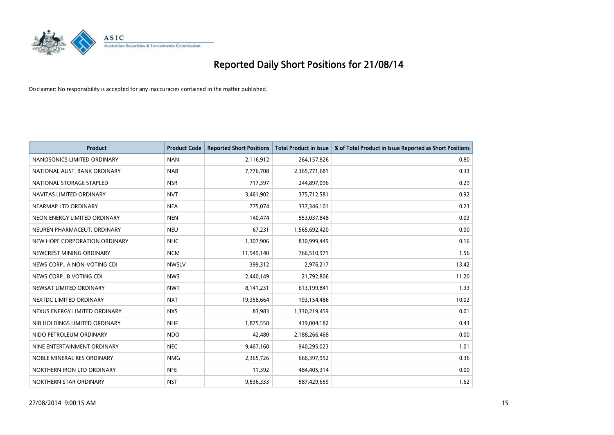

| <b>Product</b>                | <b>Product Code</b> | <b>Reported Short Positions</b> | <b>Total Product in Issue</b> | % of Total Product in Issue Reported as Short Positions |
|-------------------------------|---------------------|---------------------------------|-------------------------------|---------------------------------------------------------|
| NANOSONICS LIMITED ORDINARY   | <b>NAN</b>          | 2,116,912                       | 264,157,826                   | 0.80                                                    |
| NATIONAL AUST, BANK ORDINARY  | <b>NAB</b>          | 7,776,708                       | 2,365,771,681                 | 0.33                                                    |
| NATIONAL STORAGE STAPLED      | <b>NSR</b>          | 717,397                         | 244,897,096                   | 0.29                                                    |
| NAVITAS LIMITED ORDINARY      | <b>NVT</b>          | 3,461,902                       | 375,712,581                   | 0.92                                                    |
| NEARMAP LTD ORDINARY          | <b>NEA</b>          | 775,074                         | 337,346,101                   | 0.23                                                    |
| NEON ENERGY LIMITED ORDINARY  | <b>NEN</b>          | 140,474                         | 553,037,848                   | 0.03                                                    |
| NEUREN PHARMACEUT, ORDINARY   | <b>NEU</b>          | 67,231                          | 1,565,692,420                 | 0.00                                                    |
| NEW HOPE CORPORATION ORDINARY | <b>NHC</b>          | 1,307,906                       | 830,999,449                   | 0.16                                                    |
| NEWCREST MINING ORDINARY      | <b>NCM</b>          | 11,949,140                      | 766,510,971                   | 1.56                                                    |
| NEWS CORP A NON-VOTING CDI    | <b>NWSLV</b>        | 399,312                         | 2,976,217                     | 13.42                                                   |
| NEWS CORP B VOTING CDI        | <b>NWS</b>          | 2,440,149                       | 21,792,806                    | 11.20                                                   |
| NEWSAT LIMITED ORDINARY       | <b>NWT</b>          | 8,141,231                       | 613,199,841                   | 1.33                                                    |
| NEXTDC LIMITED ORDINARY       | <b>NXT</b>          | 19,358,664                      | 193,154,486                   | 10.02                                                   |
| NEXUS ENERGY LIMITED ORDINARY | <b>NXS</b>          | 83,983                          | 1,330,219,459                 | 0.01                                                    |
| NIB HOLDINGS LIMITED ORDINARY | <b>NHF</b>          | 1,875,558                       | 439,004,182                   | 0.43                                                    |
| NIDO PETROLEUM ORDINARY       | <b>NDO</b>          | 42,480                          | 2,188,266,468                 | 0.00                                                    |
| NINE ENTERTAINMENT ORDINARY   | <b>NEC</b>          | 9,467,160                       | 940,295,023                   | 1.01                                                    |
| NOBLE MINERAL RES ORDINARY    | <b>NMG</b>          | 2,365,726                       | 666,397,952                   | 0.36                                                    |
| NORTHERN IRON LTD ORDINARY    | <b>NFE</b>          | 11,392                          | 484,405,314                   | 0.00                                                    |
| NORTHERN STAR ORDINARY        | <b>NST</b>          | 9,536,333                       | 587,429,659                   | 1.62                                                    |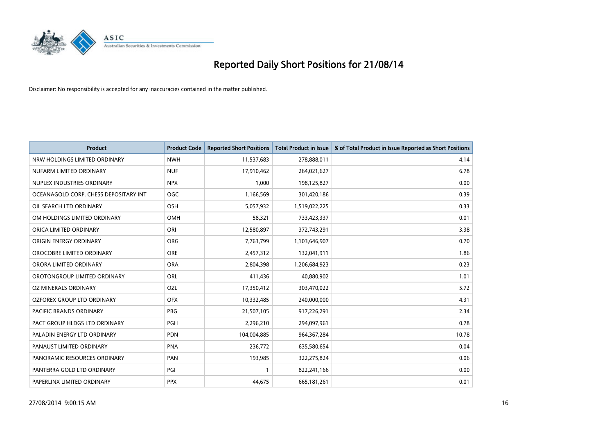

| <b>Product</b>                        | <b>Product Code</b> | <b>Reported Short Positions</b> | <b>Total Product in Issue</b> | % of Total Product in Issue Reported as Short Positions |
|---------------------------------------|---------------------|---------------------------------|-------------------------------|---------------------------------------------------------|
| NRW HOLDINGS LIMITED ORDINARY         | <b>NWH</b>          | 11,537,683                      | 278,888,011                   | 4.14                                                    |
| NUFARM LIMITED ORDINARY               | <b>NUF</b>          | 17,910,462                      | 264,021,627                   | 6.78                                                    |
| NUPLEX INDUSTRIES ORDINARY            | <b>NPX</b>          | 1.000                           | 198,125,827                   | 0.00                                                    |
| OCEANAGOLD CORP. CHESS DEPOSITARY INT | <b>OGC</b>          | 1,166,569                       | 301,420,186                   | 0.39                                                    |
| OIL SEARCH LTD ORDINARY               | OSH                 | 5,057,932                       | 1,519,022,225                 | 0.33                                                    |
| OM HOLDINGS LIMITED ORDINARY          | <b>OMH</b>          | 58,321                          | 733,423,337                   | 0.01                                                    |
| ORICA LIMITED ORDINARY                | ORI                 | 12,580,897                      | 372,743,291                   | 3.38                                                    |
| ORIGIN ENERGY ORDINARY                | ORG                 | 7,763,799                       | 1,103,646,907                 | 0.70                                                    |
| OROCOBRE LIMITED ORDINARY             | <b>ORE</b>          | 2,457,312                       | 132,041,911                   | 1.86                                                    |
| ORORA LIMITED ORDINARY                | <b>ORA</b>          | 2,804,398                       | 1,206,684,923                 | 0.23                                                    |
| OROTONGROUP LIMITED ORDINARY          | ORL                 | 411,436                         | 40,880,902                    | 1.01                                                    |
| OZ MINERALS ORDINARY                  | OZL                 | 17,350,412                      | 303,470,022                   | 5.72                                                    |
| OZFOREX GROUP LTD ORDINARY            | <b>OFX</b>          | 10,332,485                      | 240,000,000                   | 4.31                                                    |
| <b>PACIFIC BRANDS ORDINARY</b>        | <b>PBG</b>          | 21,507,105                      | 917,226,291                   | 2.34                                                    |
| PACT GROUP HLDGS LTD ORDINARY         | <b>PGH</b>          | 2,296,210                       | 294,097,961                   | 0.78                                                    |
| PALADIN ENERGY LTD ORDINARY           | <b>PDN</b>          | 104,004,885                     | 964, 367, 284                 | 10.78                                                   |
| PANAUST LIMITED ORDINARY              | <b>PNA</b>          | 236,772                         | 635,580,654                   | 0.04                                                    |
| PANORAMIC RESOURCES ORDINARY          | <b>PAN</b>          | 193,985                         | 322,275,824                   | 0.06                                                    |
| PANTERRA GOLD LTD ORDINARY            | PGI                 | $\mathbf{1}$                    | 822,241,166                   | 0.00                                                    |
| PAPERLINX LIMITED ORDINARY            | <b>PPX</b>          | 44,675                          | 665,181,261                   | 0.01                                                    |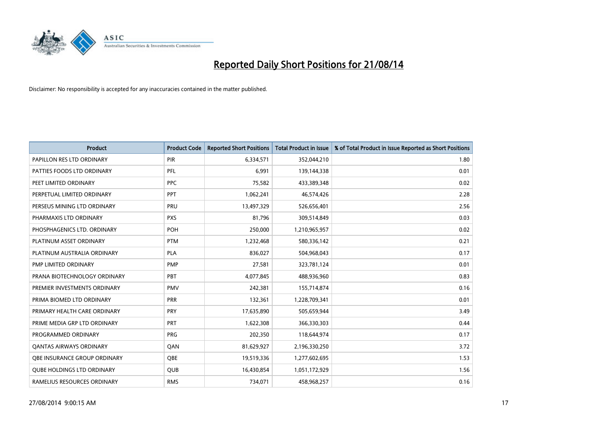

| <b>Product</b>                    | <b>Product Code</b> | <b>Reported Short Positions</b> | <b>Total Product in Issue</b> | % of Total Product in Issue Reported as Short Positions |
|-----------------------------------|---------------------|---------------------------------|-------------------------------|---------------------------------------------------------|
| PAPILLON RES LTD ORDINARY         | PIR                 | 6,334,571                       | 352,044,210                   | 1.80                                                    |
| PATTIES FOODS LTD ORDINARY        | <b>PFL</b>          | 6,991                           | 139,144,338                   | 0.01                                                    |
| PEET LIMITED ORDINARY             | <b>PPC</b>          | 75,582                          | 433,389,348                   | 0.02                                                    |
| PERPETUAL LIMITED ORDINARY        | <b>PPT</b>          | 1,062,241                       | 46,574,426                    | 2.28                                                    |
| PERSEUS MINING LTD ORDINARY       | PRU                 | 13,497,329                      | 526,656,401                   | 2.56                                                    |
| PHARMAXIS LTD ORDINARY            | <b>PXS</b>          | 81,796                          | 309,514,849                   | 0.03                                                    |
| PHOSPHAGENICS LTD. ORDINARY       | POH                 | 250,000                         | 1,210,965,957                 | 0.02                                                    |
| PLATINUM ASSET ORDINARY           | <b>PTM</b>          | 1,232,468                       | 580,336,142                   | 0.21                                                    |
| PLATINUM AUSTRALIA ORDINARY       | PLA                 | 836,027                         | 504,968,043                   | 0.17                                                    |
| PMP LIMITED ORDINARY              | <b>PMP</b>          | 27,581                          | 323,781,124                   | 0.01                                                    |
| PRANA BIOTECHNOLOGY ORDINARY      | PBT                 | 4,077,845                       | 488,936,960                   | 0.83                                                    |
| PREMIER INVESTMENTS ORDINARY      | <b>PMV</b>          | 242,381                         | 155,714,874                   | 0.16                                                    |
| PRIMA BIOMED LTD ORDINARY         | <b>PRR</b>          | 132,361                         | 1,228,709,341                 | 0.01                                                    |
| PRIMARY HEALTH CARE ORDINARY      | <b>PRY</b>          | 17,635,890                      | 505,659,944                   | 3.49                                                    |
| PRIME MEDIA GRP LTD ORDINARY      | <b>PRT</b>          | 1,622,308                       | 366,330,303                   | 0.44                                                    |
| PROGRAMMED ORDINARY               | <b>PRG</b>          | 202,350                         | 118,644,974                   | 0.17                                                    |
| <b>QANTAS AIRWAYS ORDINARY</b>    | QAN                 | 81,629,927                      | 2,196,330,250                 | 3.72                                                    |
| OBE INSURANCE GROUP ORDINARY      | <b>OBE</b>          | 19,519,336                      | 1,277,602,695                 | 1.53                                                    |
| <b>QUBE HOLDINGS LTD ORDINARY</b> | <b>QUB</b>          | 16,430,854                      | 1,051,172,929                 | 1.56                                                    |
| RAMELIUS RESOURCES ORDINARY       | <b>RMS</b>          | 734,071                         | 458,968,257                   | 0.16                                                    |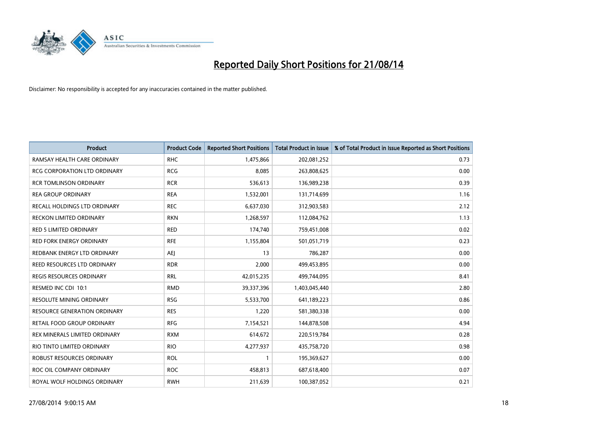

| <b>Product</b>                      | <b>Product Code</b> | <b>Reported Short Positions</b> | <b>Total Product in Issue</b> | % of Total Product in Issue Reported as Short Positions |
|-------------------------------------|---------------------|---------------------------------|-------------------------------|---------------------------------------------------------|
| RAMSAY HEALTH CARE ORDINARY         | <b>RHC</b>          | 1,475,866                       | 202,081,252                   | 0.73                                                    |
| <b>RCG CORPORATION LTD ORDINARY</b> | <b>RCG</b>          | 8,085                           | 263,808,625                   | 0.00                                                    |
| <b>RCR TOMLINSON ORDINARY</b>       | <b>RCR</b>          | 536,613                         | 136,989,238                   | 0.39                                                    |
| <b>REA GROUP ORDINARY</b>           | <b>REA</b>          | 1,532,001                       | 131,714,699                   | 1.16                                                    |
| RECALL HOLDINGS LTD ORDINARY        | <b>REC</b>          | 6,637,030                       | 312,903,583                   | 2.12                                                    |
| <b>RECKON LIMITED ORDINARY</b>      | <b>RKN</b>          | 1,268,597                       | 112,084,762                   | 1.13                                                    |
| <b>RED 5 LIMITED ORDINARY</b>       | <b>RED</b>          | 174,740                         | 759,451,008                   | 0.02                                                    |
| <b>RED FORK ENERGY ORDINARY</b>     | <b>RFE</b>          | 1,155,804                       | 501,051,719                   | 0.23                                                    |
| REDBANK ENERGY LTD ORDINARY         | <b>AEJ</b>          | 13                              | 786,287                       | 0.00                                                    |
| REED RESOURCES LTD ORDINARY         | <b>RDR</b>          | 2,000                           | 499,453,895                   | 0.00                                                    |
| REGIS RESOURCES ORDINARY            | <b>RRL</b>          | 42,015,235                      | 499,744,095                   | 8.41                                                    |
| RESMED INC CDI 10:1                 | <b>RMD</b>          | 39,337,396                      | 1,403,045,440                 | 2.80                                                    |
| RESOLUTE MINING ORDINARY            | <b>RSG</b>          | 5,533,700                       | 641,189,223                   | 0.86                                                    |
| RESOURCE GENERATION ORDINARY        | <b>RES</b>          | 1,220                           | 581,380,338                   | 0.00                                                    |
| RETAIL FOOD GROUP ORDINARY          | <b>RFG</b>          | 7,154,521                       | 144,878,508                   | 4.94                                                    |
| REX MINERALS LIMITED ORDINARY       | <b>RXM</b>          | 614,672                         | 220,519,784                   | 0.28                                                    |
| RIO TINTO LIMITED ORDINARY          | <b>RIO</b>          | 4,277,937                       | 435,758,720                   | 0.98                                                    |
| ROBUST RESOURCES ORDINARY           | <b>ROL</b>          | 1                               | 195,369,627                   | 0.00                                                    |
| ROC OIL COMPANY ORDINARY            | <b>ROC</b>          | 458,813                         | 687,618,400                   | 0.07                                                    |
| ROYAL WOLF HOLDINGS ORDINARY        | <b>RWH</b>          | 211,639                         | 100,387,052                   | 0.21                                                    |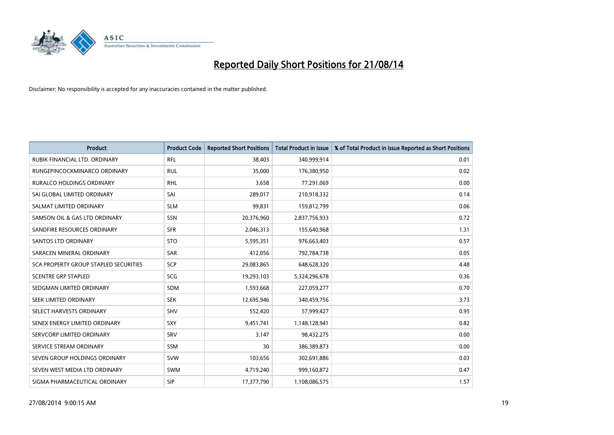

| <b>Product</b>                        | <b>Product Code</b> | <b>Reported Short Positions</b> | <b>Total Product in Issue</b> | % of Total Product in Issue Reported as Short Positions |
|---------------------------------------|---------------------|---------------------------------|-------------------------------|---------------------------------------------------------|
| RUBIK FINANCIAL LTD, ORDINARY         | <b>RFL</b>          | 38,403                          | 340,999,914                   | 0.01                                                    |
| RUNGEPINCOCKMINARCO ORDINARY          | <b>RUL</b>          | 35,000                          | 176,380,950                   | 0.02                                                    |
| RURALCO HOLDINGS ORDINARY             | <b>RHL</b>          | 3,658                           | 77,291,069                    | 0.00                                                    |
| SAI GLOBAL LIMITED ORDINARY           | SAI                 | 289,017                         | 210,918,332                   | 0.14                                                    |
| SALMAT LIMITED ORDINARY               | <b>SLM</b>          | 99,831                          | 159,812,799                   | 0.06                                                    |
| SAMSON OIL & GAS LTD ORDINARY         | SSN                 | 20,376,960                      | 2,837,756,933                 | 0.72                                                    |
| SANDFIRE RESOURCES ORDINARY           | <b>SFR</b>          | 2,046,313                       | 155,640,968                   | 1.31                                                    |
| <b>SANTOS LTD ORDINARY</b>            | <b>STO</b>          | 5,595,351                       | 976,663,403                   | 0.57                                                    |
| SARACEN MINERAL ORDINARY              | <b>SAR</b>          | 412,056                         | 792,784,738                   | 0.05                                                    |
| SCA PROPERTY GROUP STAPLED SECURITIES | SCP                 | 29,083,865                      | 648,628,320                   | 4.48                                                    |
| <b>SCENTRE GRP STAPLED</b>            | SCG                 | 19,293,103                      | 5,324,296,678                 | 0.36                                                    |
| SEDGMAN LIMITED ORDINARY              | <b>SDM</b>          | 1,593,668                       | 227,059,277                   | 0.70                                                    |
| SEEK LIMITED ORDINARY                 | <b>SEK</b>          | 12,695,946                      | 340,459,756                   | 3.73                                                    |
| SELECT HARVESTS ORDINARY              | <b>SHV</b>          | 552,420                         | 57,999,427                    | 0.95                                                    |
| SENEX ENERGY LIMITED ORDINARY         | <b>SXY</b>          | 9,451,741                       | 1,148,128,941                 | 0.82                                                    |
| SERVCORP LIMITED ORDINARY             | SRV                 | 3,147                           | 98,432,275                    | 0.00                                                    |
| SERVICE STREAM ORDINARY               | SSM                 | 30                              | 386,389,873                   | 0.00                                                    |
| SEVEN GROUP HOLDINGS ORDINARY         | <b>SVW</b>          | 103,656                         | 302,691,886                   | 0.03                                                    |
| SEVEN WEST MEDIA LTD ORDINARY         | <b>SWM</b>          | 4,719,240                       | 999,160,872                   | 0.47                                                    |
| SIGMA PHARMACEUTICAL ORDINARY         | <b>SIP</b>          | 17,377,790                      | 1,108,086,575                 | 1.57                                                    |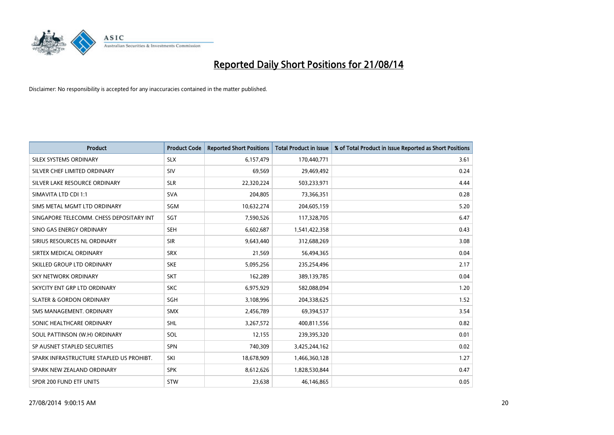

| <b>Product</b>                           | <b>Product Code</b> | <b>Reported Short Positions</b> | <b>Total Product in Issue</b> | % of Total Product in Issue Reported as Short Positions |
|------------------------------------------|---------------------|---------------------------------|-------------------------------|---------------------------------------------------------|
| SILEX SYSTEMS ORDINARY                   | <b>SLX</b>          | 6,157,479                       | 170,440,771                   | 3.61                                                    |
| SILVER CHEF LIMITED ORDINARY             | <b>SIV</b>          | 69,569                          | 29,469,492                    | 0.24                                                    |
| SILVER LAKE RESOURCE ORDINARY            | <b>SLR</b>          | 22,320,224                      | 503,233,971                   | 4.44                                                    |
| SIMAVITA LTD CDI 1:1                     | <b>SVA</b>          | 204,805                         | 73,366,351                    | 0.28                                                    |
| SIMS METAL MGMT LTD ORDINARY             | SGM                 | 10,632,274                      | 204,605,159                   | 5.20                                                    |
| SINGAPORE TELECOMM. CHESS DEPOSITARY INT | SGT                 | 7,590,526                       | 117,328,705                   | 6.47                                                    |
| SINO GAS ENERGY ORDINARY                 | <b>SEH</b>          | 6,602,687                       | 1,541,422,358                 | 0.43                                                    |
| SIRIUS RESOURCES NL ORDINARY             | <b>SIR</b>          | 9,643,440                       | 312,688,269                   | 3.08                                                    |
| SIRTEX MEDICAL ORDINARY                  | <b>SRX</b>          | 21,569                          | 56,494,365                    | 0.04                                                    |
| SKILLED GROUP LTD ORDINARY               | <b>SKE</b>          | 5,095,256                       | 235,254,496                   | 2.17                                                    |
| SKY NETWORK ORDINARY                     | <b>SKT</b>          | 162,289                         | 389,139,785                   | 0.04                                                    |
| SKYCITY ENT GRP LTD ORDINARY             | <b>SKC</b>          | 6,975,929                       | 582,088,094                   | 1.20                                                    |
| <b>SLATER &amp; GORDON ORDINARY</b>      | SGH                 | 3,108,996                       | 204,338,625                   | 1.52                                                    |
| SMS MANAGEMENT, ORDINARY                 | <b>SMX</b>          | 2,456,789                       | 69,394,537                    | 3.54                                                    |
| SONIC HEALTHCARE ORDINARY                | <b>SHL</b>          | 3,267,572                       | 400,811,556                   | 0.82                                                    |
| SOUL PATTINSON (W.H) ORDINARY            | SOL                 | 12,155                          | 239,395,320                   | 0.01                                                    |
| SP AUSNET STAPLED SECURITIES             | <b>SPN</b>          | 740,309                         | 3,425,244,162                 | 0.02                                                    |
| SPARK INFRASTRUCTURE STAPLED US PROHIBT. | SKI                 | 18,678,909                      | 1,466,360,128                 | 1.27                                                    |
| SPARK NEW ZEALAND ORDINARY               | <b>SPK</b>          | 8,612,626                       | 1,828,530,844                 | 0.47                                                    |
| SPDR 200 FUND ETF UNITS                  | <b>STW</b>          | 23,638                          | 46,146,865                    | 0.05                                                    |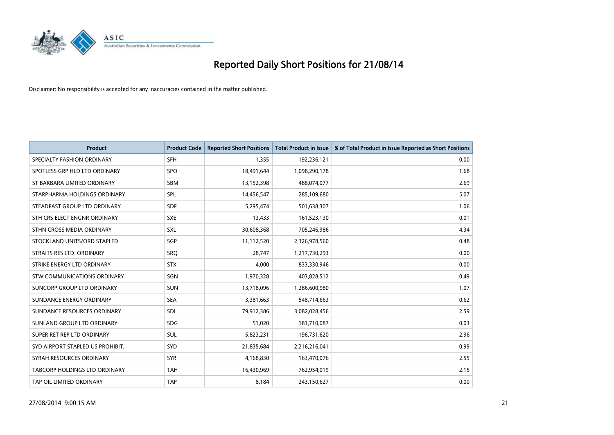

| <b>Product</b>                   | <b>Product Code</b> | <b>Reported Short Positions</b> | <b>Total Product in Issue</b> | % of Total Product in Issue Reported as Short Positions |
|----------------------------------|---------------------|---------------------------------|-------------------------------|---------------------------------------------------------|
| SPECIALTY FASHION ORDINARY       | <b>SFH</b>          | 1,355                           | 192,236,121                   | 0.00                                                    |
| SPOTLESS GRP HLD LTD ORDINARY    | <b>SPO</b>          | 18,491,644                      | 1,098,290,178                 | 1.68                                                    |
| ST BARBARA LIMITED ORDINARY      | <b>SBM</b>          | 13,152,398                      | 488,074,077                   | 2.69                                                    |
| STARPHARMA HOLDINGS ORDINARY     | <b>SPL</b>          | 14,456,547                      | 285,109,680                   | 5.07                                                    |
| STEADFAST GROUP LTD ORDINARY     | <b>SDF</b>          | 5,295,474                       | 501,638,307                   | 1.06                                                    |
| STH CRS ELECT ENGNR ORDINARY     | <b>SXE</b>          | 13,433                          | 161,523,130                   | 0.01                                                    |
| STHN CROSS MEDIA ORDINARY        | SXL                 | 30,608,368                      | 705,246,986                   | 4.34                                                    |
| STOCKLAND UNITS/ORD STAPLED      | SGP                 | 11,112,520                      | 2,326,978,560                 | 0.48                                                    |
| STRAITS RES LTD. ORDINARY        | <b>SRQ</b>          | 28,747                          | 1,217,730,293                 | 0.00                                                    |
| STRIKE ENERGY LTD ORDINARY       | <b>STX</b>          | 4,000                           | 833,330,946                   | 0.00                                                    |
| STW COMMUNICATIONS ORDINARY      | SGN                 | 1,970,328                       | 403,828,512                   | 0.49                                                    |
| SUNCORP GROUP LTD ORDINARY       | <b>SUN</b>          | 13,718,096                      | 1,286,600,980                 | 1.07                                                    |
| SUNDANCE ENERGY ORDINARY         | <b>SEA</b>          | 3,381,663                       | 548,714,663                   | 0.62                                                    |
| SUNDANCE RESOURCES ORDINARY      | SDL                 | 79,912,386                      | 3,082,028,456                 | 2.59                                                    |
| SUNLAND GROUP LTD ORDINARY       | <b>SDG</b>          | 51,020                          | 181,710,087                   | 0.03                                                    |
| SUPER RET REP LTD ORDINARY       | SUL                 | 5,823,231                       | 196,731,620                   | 2.96                                                    |
| SYD AIRPORT STAPLED US PROHIBIT. | <b>SYD</b>          | 21,835,684                      | 2,216,216,041                 | 0.99                                                    |
| SYRAH RESOURCES ORDINARY         | <b>SYR</b>          | 4,168,830                       | 163,470,076                   | 2.55                                                    |
| TABCORP HOLDINGS LTD ORDINARY    | <b>TAH</b>          | 16,430,969                      | 762,954,019                   | 2.15                                                    |
| TAP OIL LIMITED ORDINARY         | <b>TAP</b>          | 8,184                           | 243,150,627                   | 0.00                                                    |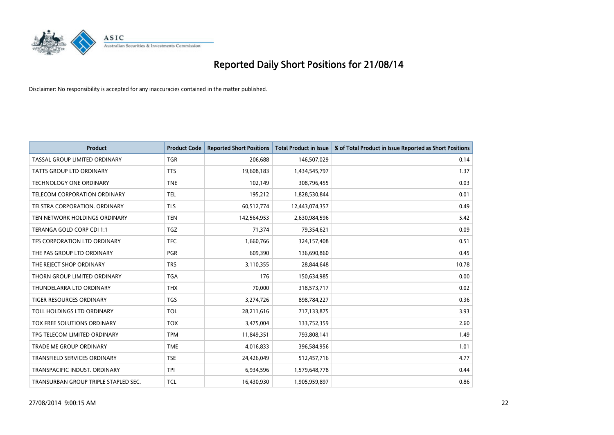

| <b>Product</b>                       | <b>Product Code</b> | <b>Reported Short Positions</b> | <b>Total Product in Issue</b> | % of Total Product in Issue Reported as Short Positions |
|--------------------------------------|---------------------|---------------------------------|-------------------------------|---------------------------------------------------------|
| TASSAL GROUP LIMITED ORDINARY        | <b>TGR</b>          | 206,688                         | 146,507,029                   | 0.14                                                    |
| TATTS GROUP LTD ORDINARY             | <b>TTS</b>          | 19,608,183                      | 1,434,545,797                 | 1.37                                                    |
| <b>TECHNOLOGY ONE ORDINARY</b>       | <b>TNE</b>          | 102,149                         | 308,796,455                   | 0.03                                                    |
| TELECOM CORPORATION ORDINARY         | <b>TEL</b>          | 195,212                         | 1,828,530,844                 | 0.01                                                    |
| TELSTRA CORPORATION, ORDINARY        | <b>TLS</b>          | 60,512,774                      | 12,443,074,357                | 0.49                                                    |
| TEN NETWORK HOLDINGS ORDINARY        | <b>TEN</b>          | 142,564,953                     | 2,630,984,596                 | 5.42                                                    |
| TERANGA GOLD CORP CDI 1:1            | <b>TGZ</b>          | 71,374                          | 79,354,621                    | 0.09                                                    |
| TFS CORPORATION LTD ORDINARY         | <b>TFC</b>          | 1,660,766                       | 324,157,408                   | 0.51                                                    |
| THE PAS GROUP LTD ORDINARY           | <b>PGR</b>          | 609,390                         | 136,690,860                   | 0.45                                                    |
| THE REJECT SHOP ORDINARY             | <b>TRS</b>          | 3,110,355                       | 28,844,648                    | 10.78                                                   |
| THORN GROUP LIMITED ORDINARY         | <b>TGA</b>          | 176                             | 150,634,985                   | 0.00                                                    |
| THUNDELARRA LTD ORDINARY             | <b>THX</b>          | 70,000                          | 318,573,717                   | 0.02                                                    |
| TIGER RESOURCES ORDINARY             | <b>TGS</b>          | 3,274,726                       | 898,784,227                   | 0.36                                                    |
| TOLL HOLDINGS LTD ORDINARY           | <b>TOL</b>          | 28,211,616                      | 717,133,875                   | 3.93                                                    |
| TOX FREE SOLUTIONS ORDINARY          | <b>TOX</b>          | 3,475,004                       | 133,752,359                   | 2.60                                                    |
| TPG TELECOM LIMITED ORDINARY         | <b>TPM</b>          | 11,849,351                      | 793,808,141                   | 1.49                                                    |
| TRADE ME GROUP ORDINARY              | <b>TME</b>          | 4,016,833                       | 396,584,956                   | 1.01                                                    |
| TRANSFIELD SERVICES ORDINARY         | <b>TSE</b>          | 24,426,049                      | 512,457,716                   | 4.77                                                    |
| TRANSPACIFIC INDUST, ORDINARY        | <b>TPI</b>          | 6,934,596                       | 1,579,648,778                 | 0.44                                                    |
| TRANSURBAN GROUP TRIPLE STAPLED SEC. | <b>TCL</b>          | 16,430,930                      | 1,905,959,897                 | 0.86                                                    |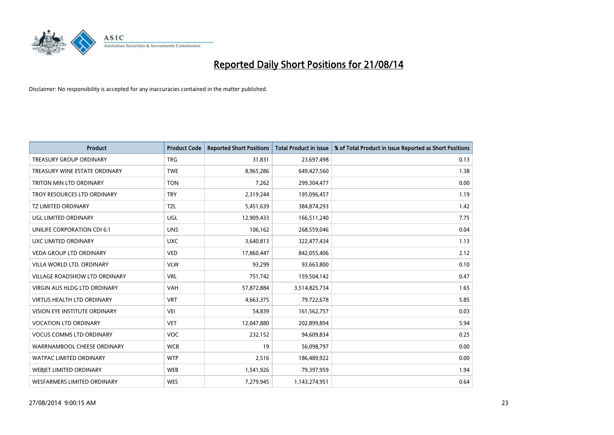

| <b>Product</b>                      | <b>Product Code</b> | <b>Reported Short Positions</b> | <b>Total Product in Issue</b> | % of Total Product in Issue Reported as Short Positions |
|-------------------------------------|---------------------|---------------------------------|-------------------------------|---------------------------------------------------------|
| <b>TREASURY GROUP ORDINARY</b>      | <b>TRG</b>          | 31,831                          | 23,697,498                    | 0.13                                                    |
| TREASURY WINE ESTATE ORDINARY       | <b>TWE</b>          | 8,965,286                       | 649,427,560                   | 1.38                                                    |
| TRITON MIN LTD ORDINARY             | <b>TON</b>          | 7,262                           | 299,304,477                   | 0.00                                                    |
| TROY RESOURCES LTD ORDINARY         | <b>TRY</b>          | 2,319,244                       | 195,096,457                   | 1.19                                                    |
| <b>TZ LIMITED ORDINARY</b>          | <b>TZL</b>          | 5,451,639                       | 384,874,293                   | 1.42                                                    |
| <b>UGL LIMITED ORDINARY</b>         | UGL                 | 12,909,433                      | 166,511,240                   | 7.75                                                    |
| UNILIFE CORPORATION CDI 6:1         | <b>UNS</b>          | 106,162                         | 268,559,046                   | 0.04                                                    |
| UXC LIMITED ORDINARY                | <b>UXC</b>          | 3,640,813                       | 322,477,434                   | 1.13                                                    |
| <b>VEDA GROUP LTD ORDINARY</b>      | <b>VED</b>          | 17,860,447                      | 842,055,406                   | 2.12                                                    |
| VILLA WORLD LTD, ORDINARY           | <b>VLW</b>          | 93,299                          | 93,663,800                    | 0.10                                                    |
| VILLAGE ROADSHOW LTD ORDINARY       | <b>VRL</b>          | 751,742                         | 159,504,142                   | 0.47                                                    |
| <b>VIRGIN AUS HLDG LTD ORDINARY</b> | VAH                 | 57,872,884                      | 3,514,825,734                 | 1.65                                                    |
| <b>VIRTUS HEALTH LTD ORDINARY</b>   | <b>VRT</b>          | 4,663,375                       | 79,722,678                    | 5.85                                                    |
| VISION EYE INSTITUTE ORDINARY       | <b>VEI</b>          | 54,839                          | 161,562,757                   | 0.03                                                    |
| <b>VOCATION LTD ORDINARY</b>        | <b>VET</b>          | 12,047,880                      | 202,899,894                   | 5.94                                                    |
| <b>VOCUS COMMS LTD ORDINARY</b>     | VOC                 | 232,152                         | 94,609,834                    | 0.25                                                    |
| WARRNAMBOOL CHEESE ORDINARY         | <b>WCB</b>          | 19                              | 56,098,797                    | 0.00                                                    |
| WATPAC LIMITED ORDINARY             | <b>WTP</b>          | 2,516                           | 186,489,922                   | 0.00                                                    |
| WEBJET LIMITED ORDINARY             | <b>WEB</b>          | 1,541,926                       | 79,397,959                    | 1.94                                                    |
| WESFARMERS LIMITED ORDINARY         | <b>WES</b>          | 7,279,945                       | 1,143,274,951                 | 0.64                                                    |